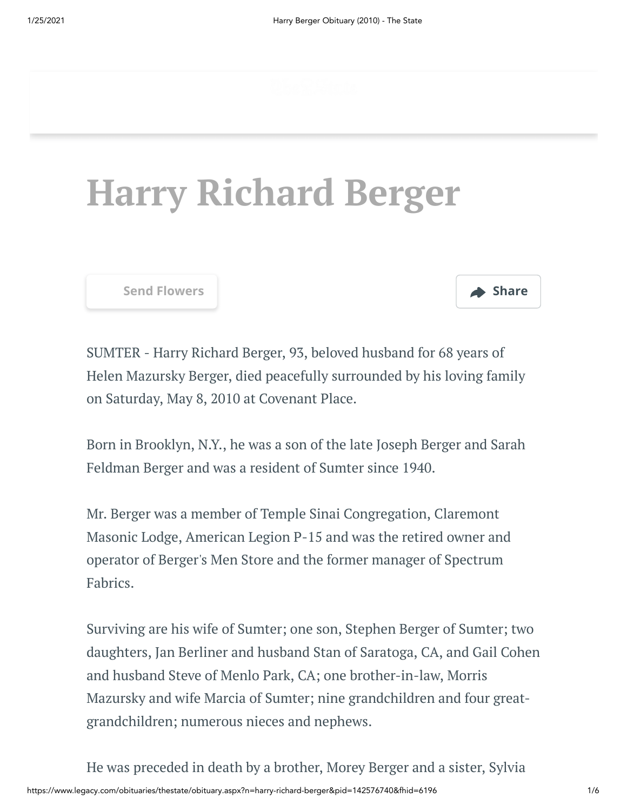## **Harry Richard Berger**

**[Send Flowers](https://sympathy.legacy.com/en-us/funeral-flowers/gallery/?&pm=205) Share** 



SUMTER - Harry Richard Berger, 93, beloved husband for 68 years of Helen Mazursky Berger, died peacefully surrounded by his loving family on Saturday, May 8, 2010 at Covenant Place.

Born in Brooklyn, N.Y., he was a son of the late Joseph Berger and Sarah Feldman Berger and was a resident of Sumter since 1940.

Mr. Berger was a member of Temple Sinai Congregation, Claremont Masonic Lodge, American Legion P-15 and was the retired owner and operator of Berger's Men Store and the former manager of Spectrum Fabrics.

Surviving are his wife of Sumter; one son, Stephen Berger of Sumter; two daughters, Jan Berliner and husband Stan of Saratoga, CA, and Gail Cohen and husband Steve of Menlo Park, CA; one brother-in-law, Morris Mazursky and wife Marcia of Sumter; nine grandchildren and four greatgrandchildren; numerous nieces and nephews.

https://www.legacy.com/obituaries/thestate/obituary.aspx?n=harry-richard-berger&pid=142576740&fhid=6196 1/6 He was preceded in death by a brother, Morey Berger and a sister, Sylvia